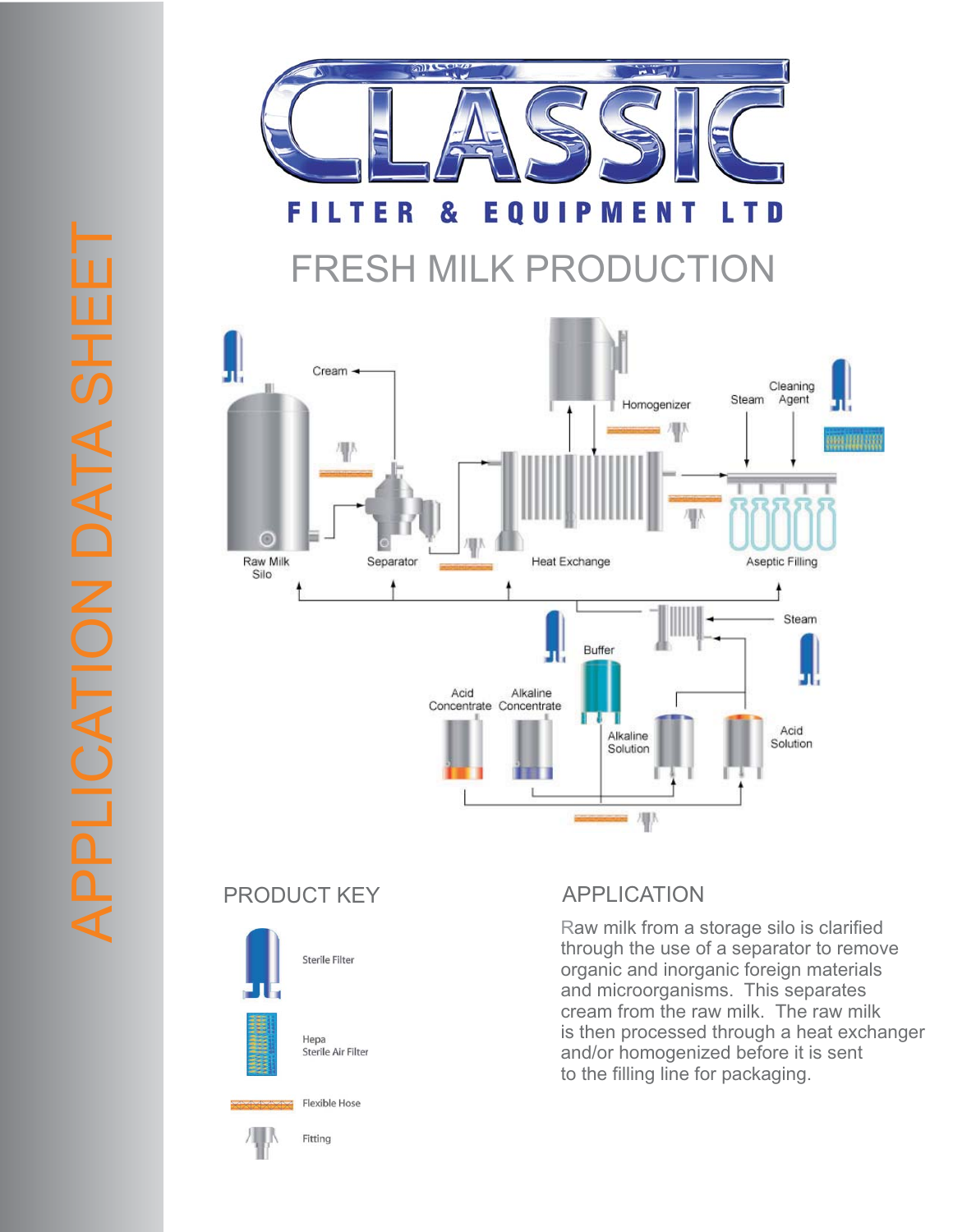



PRODUCT KEY APPLICATION

APPLICATION DATA SHEET

**APPLICATION DATA SHE** 



Raw milk from a storage silo is clarified through the use of a separator to remove organic and inorganic foreign materials and microorganisms. This separates cream from the raw milk. The raw milk is then processed through a heat exchanger and/or homogenized before it is sent to the filling line for packaging.

Flexible Hose



Fitting